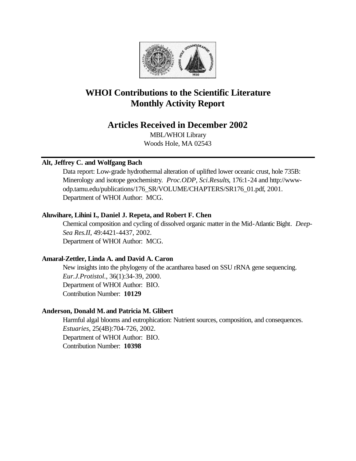

# **WHOI Contributions to the Scientific Literature Monthly Activity Report**

# **Articles Received in December 2002**

MBL/WHOI Library Woods Hole, MA 02543

# **Alt, Jeffrey C. and Wolfgang Bach**

Data report: Low-grade hydrothermal alteration of uplifted lower oceanic crust, hole 735B: Minerology and isotope geochemistry. *Proc.ODP, Sci.Results*, 176:1-24 and http://wwwodp.tamu.edu/publications/176\_SR/VOLUME/CHAPTERS/SR176\_01.pdf, 2001. Department of WHOI Author: MCG.

# **Aluwihare, Lihini I., Daniel J. Repeta, and Robert F. Chen**

Chemical composition and cycling of dissolved organic matter in the Mid-Atlantic Bight. *Deep-Sea Res.II*, 49:4421-4437, 2002. Department of WHOI Author: MCG.

# **Amaral-Zettler, Linda A. and David A. Caron**

New insights into the phylogeny of the acantharea based on SSU rRNA gene sequencing. *Eur.J.Protistol.*, 36(1):34-39, 2000. Department of WHOI Author: BIO. Contribution Number: **10129**

# **Anderson, Donald M. and Patricia M. Glibert**

Harmful algal blooms and eutrophication: Nutrient sources, composition, and consequences. *Estuaries*, 25(4B):704-726, 2002. Department of WHOI Author: BIO. Contribution Number: **10398**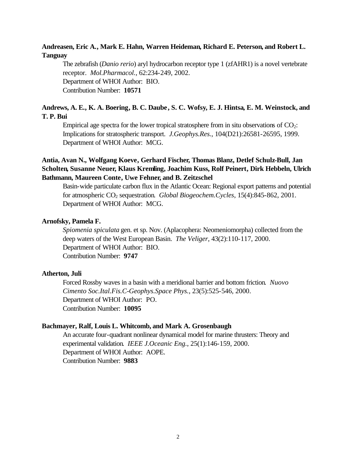# **Andreasen, Eric A., Mark E. Hahn, Warren Heideman, Richard E. Peterson, and Robert L. Tanguay**

The zebrafish (*Danio rerio*) aryl hydrocarbon receptor type 1 (zfAHR1) is a novel vertebrate receptor. *Mol.Pharmacol.*, 62:234-249, 2002. Department of WHOI Author: BIO. Contribution Number: **10571**

# **Andrews, A. E., K. A. Boering, B. C. Daube, S. C. Wofsy, E. J. Hintsa, E. M. Weinstock, and T. P. Bui**

Empirical age spectra for the lower tropical stratosphere from in situ observations of  $CO<sub>2</sub>$ : Implications for stratospheric transport. *J.Geophys.Res.*, 104(D21):26581-26595, 1999. Department of WHOI Author: MCG.

# **Antia, Avan N., Wolfgang Koeve, Gerhard Fischer, Thomas Blanz, Detlef Schulz-Bull, Jan Scholten, Susanne Neuer, Klaus Kremling, Joachim Kuss, Rolf Peinert, Dirk Hebbeln, Ulrich Bathmann, Maureen Conte, Uwe Fehner, and B. Zeitzschel**

Basin-wide particulate carbon flux in the Atlantic Ocean: Regional export patterns and potential for atmospheric CO2 sequestration. *Global Biogeochem.Cycles*, 15(4):845-862, 2001. Department of WHOI Author: MCG.

#### **Arnofsky, Pamela F.**

*Spiomenia spiculata* gen. et sp. Nov. (Aplacophera: Neomeniomorpha) collected from the deep waters of the West European Basin. *The Veliger*, 43(2):110-117, 2000. Department of WHOI Author: BIO. Contribution Number: **9747**

## **Atherton, Juli**

Forced Rossby waves in a basin with a meridional barrier and bottom friction. *Nuovo Cimento Soc.Ital.Fis.C-Geophys.Space Phys.*, 23(5):525-546, 2000. Department of WHOI Author: PO. Contribution Number: **10095**

#### **Bachmayer, Ralf, Louis L. Whitcomb, and Mark A. Grosenbaugh**

An accurate four-quadrant nonlinear dynamical model for marine thrusters: Theory and experimental validation. *IEEE J.Oceanic Eng.*, 25(1):146-159, 2000. Department of WHOI Author: AOPE. Contribution Number: **9883**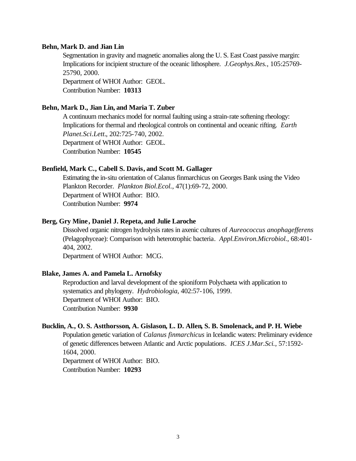#### **Behn, Mark D. and Jian Lin**

Segmentation in gravity and magnetic anomalies along the U. S. East Coast passive margin: Implications for incipient structure of the oceanic lithosphere. *J.Geophys.Res.*, 105:25769- 25790, 2000.

Department of WHOI Author: GEOL. Contribution Number: **10313**

#### **Behn, Mark D., Jian Lin, and Maria T. Zuber**

A continuum mechanics model for normal faulting using a strain-rate softening rheology: Implications for thermal and rheological controls on continental and oceanic rifting. *Earth Planet.Sci.Lett.*, 202:725-740, 2002. Department of WHOI Author: GEOL. Contribution Number: **10545**

#### **Benfield, Mark C., Cabell S. Davis, and Scott M. Gallager**

Estimating the in-situ orientation of Calanus finmarchicus on Georges Bank using the Video Plankton Recorder. *Plankton Biol.Ecol.*, 47(1):69-72, 2000. Department of WHOI Author: BIO. Contribution Number: **9974**

## **Berg, Gry Mine, Daniel J. Repeta, and Julie Laroche**

Dissolved organic nitrogen hydrolysis rates in axenic cultures of *Aureococcus anophagefferens* (Pelagophyceae): Comparison with heterotrophic bacteria. *Appl.Environ.Microbiol.*, 68:401- 404, 2002.

Department of WHOI Author: MCG.

# **Blake, James A. and Pamela L. Arnofsky**

Reproduction and larval development of the spioniform Polychaeta with application to systematics and phylogeny. *Hydrobiologia*, 402:57-106, 1999. Department of WHOI Author: BIO. Contribution Number: **9930**

# **Bucklin, A., O. S. Astthorsson, A. Gislason, L. D. Allen, S. B. Smolenack, and P. H. Wiebe**

Population genetic variation of *Calanus finmarchicus* in Icelandic waters: Preliminary evidence of genetic differences between Atlantic and Arctic populations. *ICES J.Mar.Sci.*, 57:1592- 1604, 2000.

Department of WHOI Author: BIO. Contribution Number: **10293**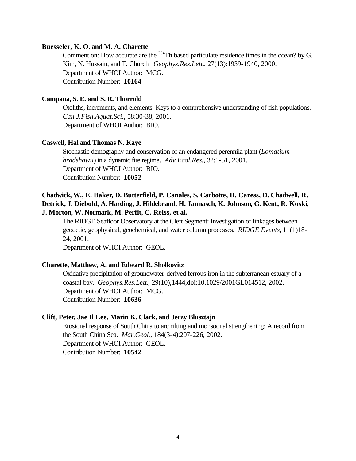#### **Buesseler, K. O. and M. A. Charette**

Comment on: How accurate are the  $^{234}$ Th based particulate residence times in the ocean? by G. Kim, N. Hussain, and T. Church. *Geophys.Res.Lett.*, 27(13):1939-1940, 2000. Department of WHOI Author: MCG. Contribution Number: **10164**

# **Campana, S. E. and S. R. Thorrold**

Otoliths, increments, and elements: Keys to a comprehensive understanding of fish populations. *Can.J.Fish.Aquat.Sci.*, 58:30-38, 2001. Department of WHOI Author: BIO.

#### **Caswell, Hal and Thomas N. Kaye**

Stochastic demography and conservation of an endangered perennila plant (*Lomatium bradshawii*) in a dynamic fire regime. *Adv.Ecol.Res.*, 32:1-51, 2001. Department of WHOI Author: BIO. Contribution Number: **10052**

# **Chadwick, W., E. Baker, D. Butterfield, P. Canales, S. Carbotte, D. Caress, D. Chadwell, R. Detrick, J. Diebold, A. Harding, J. Hildebrand, H. Jannasch, K. Johnson, G. Kent, R. Koski, J. Morton, W. Normark, M. Perfit, C. Reiss, et al.**

The RIDGE Seafloor Observatory at the Cleft Segment: Investigation of linkages between geodetic, geophysical, geochemical, and water column processes. *RIDGE Events*, 11(1)18- 24, 2001.

Department of WHOI Author: GEOL.

#### **Charette, Matthew, A. and Edward R. Sholkovitz**

Oxidative precipitation of groundwater-derived ferrous iron in the subterranean estuary of a coastal bay. *Geophys.Res.Lett.*, 29(10),1444,doi:10.1029/2001GL014512, 2002. Department of WHOI Author: MCG. Contribution Number: **10636**

## **Clift, Peter, Jae Il Lee, Marin K. Clark, and Jerzy Blusztajn**

Erosional response of South China to arc rifting and monsoonal strengthening: A record from the South China Sea. *Mar.Geol.*, 184(3-4):207-226, 2002. Department of WHOI Author: GEOL. Contribution Number: **10542**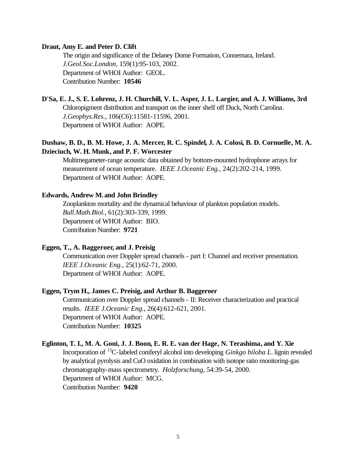#### **Draut, Amy E. and Peter D. Clift**

The origin and significance of the Delaney Dome Formation, Connemara, Ireland. *J.Geol.Soc.London*, 159(1):95-103, 2002. Department of WHOI Author: GEOL. Contribution Number: **10546**

# **D'Sa, E. J., S. E. Lohrenz, J. H. Churchill, V. L. Asper, J. L. Largier, and A. J. Williams, 3rd**

Chloropigment distribution and transport on the inner shelf off Duck, North Carolina. *J.Geophys.Res.*, 106(C6):11581-11596, 2001. Department of WHOI Author: AOPE.

# **Dushaw, B. D., B. M. Howe, J. A. Mercer, R. C. Spindel, J. A. Colosi, B. D. Cornuelle, M. A. Dzieciuch, W. H. Munk, and P. F. Worcester**

Multimegameter-range acoustic data obtained by bottom-mounted hydrophone arrays for measurement of ocean temperature. *IEEE J.Oceanic Eng.*, 24(2):202-214, 1999. Department of WHOI Author: AOPE.

## **Edwards, Andrew M. and John Brindley**

Zooplankton mortality and the dynamical behaviour of plankton population models. *Bull.Math.Biol.*, 61(2):303-339, 1999. Department of WHOI Author: BIO. Contribution Number: **9721**

# **Eggen, T., A. Baggeroer, and J. Preisig**

Communication over Doppler spread channels - part I: Channel and receiver presentation. *IEEE J.Oceanic Eng.*, 25(1):62-71, 2000. Department of WHOI Author: AOPE.

# **Eggen, Trym H., James C. Preisig, and Arthur B. Baggeroer**

Communication over Doppler spread channels - II: Receiver characterization and practical results. *IEEE J.Oceanic Eng.*, 26(4):612-621, 2001. Department of WHOI Author: AOPE. Contribution Number: **10325**

# **Eglinton, T. I., M. A. Goni, J. J. Boon, E. R. E. van der Hage, N. Terashima, and Y. Xie**

Incorporation of <sup>13</sup>C-labeled coniferyl alcohol into developing *Ginkgo biloba L*. lignin revealed by analytical pyrolysis and CuO oxidation in combination with isotope ratio monitoring-gas chromatography-mass spectrometry. *Holzforschung*, 54:39-54, 2000. Department of WHOI Author: MCG. Contribution Number: **9420**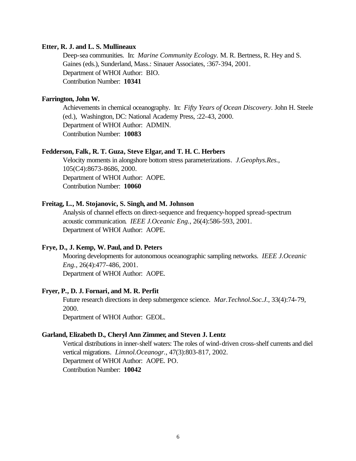#### **Etter, R. J. and L. S. Mullineaux**

Deep-sea communities. In: *Marine Community Ecology.* M. R. Bertness, R. Hey and S. Gaines (eds.), Sunderland, Mass.: Sinauer Associates, :367-394, 2001. Department of WHOI Author: BIO. Contribution Number: **10341**

# **Farrington, John W.**

Achievements in chemical oceanography. In: *Fifty Years of Ocean Discovery.* John H. Steele (ed.), Washington, DC: National Academy Press, :22-43, 2000. Department of WHOI Author: ADMIN. Contribution Number: **10083**

#### **Fedderson, Falk, R. T. Guza, Steve Elgar, and T. H. C. Herbers**

Velocity moments in alongshore bottom stress parameterizations. *J.Geophys.Res.*, 105(C4):8673-8686, 2000. Department of WHOI Author: AOPE. Contribution Number: **10060**

#### **Freitag, L., M. Stojanovic, S. Singh, and M. Johnson**

Analysis of channel effects on direct-sequence and frequency-hopped spread-spectrum acoustic communication. *IEEE J.Oceanic Eng.*, 26(4):586-593, 2001. Department of WHOI Author: AOPE.

# **Frye, D., J. Kemp, W. Paul, and D. Peters**

Mooring developments for autonomous oceanographic sampling networks. *IEEE J.Oceanic Eng.*, 26(4):477-486, 2001. Department of WHOI Author: AOPE.

#### **Fryer, P., D. J. Fornari, and M. R. Perfit**

Future research directions in deep submergence science. *Mar.Technol.Soc.J.*, 33(4):74-79, 2000. Department of WHOI Author: GEOL.

#### **Garland, Elizabeth D., Cheryl Ann Zimmer, and Steven J. Lentz**

Vertical distributions in inner-shelf waters: The roles of wind-driven cross-shelf currents and diel vertical migrations. *Limnol.Oceanogr.*, 47(3):803-817, 2002. Department of WHOI Author: AOPE. PO. Contribution Number: **10042**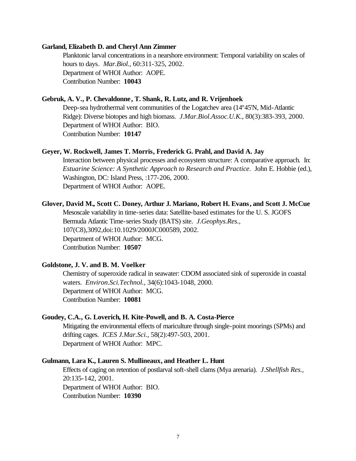#### **Garland, Elizabeth D. and Cheryl Ann Zimmer**

Planktonic larval concentrations in a nearshore environment: Temporal variability on scales of hours to days. *Mar.Biol.*, 60:311-325, 2002. Department of WHOI Author: AOPE. Contribution Number: **10043**

## **Gebruk, A. V., P. Chevaldonne, T. Shank, R. Lutz, and R. Vrijenhoek**

Deep-sea hydrothermal vent communities of the Logatchev area (14º45'N, Mid-Atlantic Ridge): Diverse biotopes and high biomass. *J.Mar.Biol.Assoc.U.K.*, 80(3):383-393, 2000. Department of WHOI Author: BIO. Contribution Number: **10147**

# **Geyer, W. Rockwell, James T. Morris, Frederick G. Prahl, and David A. Jay**

Interaction between physical processes and ecosystem structure: A comparative approach. In: *Estuarine Science: A Synthetic Approach to Research and Practice. John E. Hobbie (ed.),* Washington, DC: Island Press, :177-206, 2000. Department of WHOI Author: AOPE.

#### **Glover, David M., Scott C. Doney, Arthur J. Mariano, Robert H. Evans, and Scott J. McCue**

Mesoscale variability in time-series data: Satellite-based estimates for the U. S. JGOFS Bermuda Atlantic Time-series Study (BATS) site. *J.Geophys.Res.*, 107(C8),3092,doi:10.1029/2000JC000589, 2002. Department of WHOI Author: MCG. Contribution Number: **10507**

## **Goldstone, J. V. and B. M. Voelker**

Chemistry of superoxide radical in seawater: CDOM associated sink of superoxide in coastal waters. *Environ.Sci.Technol.*, 34(6):1043-1048, 2000. Department of WHOI Author: MCG. Contribution Number: **10081**

## **Goudey, C.A., G. Loverich, H. Kite-Powell, and B. A. Costa-Pierce**

Mitigating the environmental effects of mariculture through single-point moorings (SPMs) and drifting cages. *ICES J.Mar.Sci.*, 58(2):497-503, 2001. Department of WHOI Author: MPC.

#### **Gulmann, Lara K., Lauren S. Mullineaux, and Heather L. Hunt**

Effects of caging on retention of postlarval soft-shell clams (Mya arenaria). *J.Shellfish Res.*, 20:135-142, 2001. Department of WHOI Author: BIO. Contribution Number: **10390**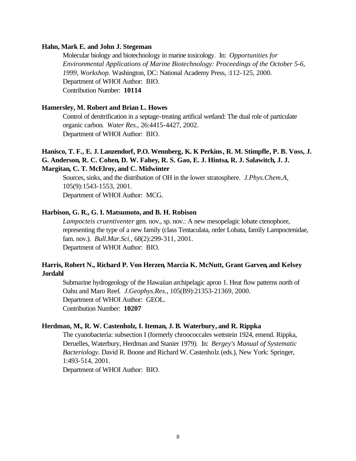#### **Hahn, Mark E. and John J. Stegeman**

Molecular biology and biotechnology in marine toxicology. In: *Opportunities for Environmental Applications of Marine Biotechnology: Proceedings of the October 5-6, 1999, Workshop.* Washington, DC: National Academy Press, :112-125, 2000. Department of WHOI Author: BIO. Contribution Number: **10114**

#### **Hamersley, M. Robert and Brian L. Howes**

Control of denitrification in a septage-treating artifical wetland: The dual role of particulate organic carbon. *Water Res.*, 26:4415-4427, 2002. Department of WHOI Author: BIO.

# **Hanisco, T. F., E. J. Lanzendorf, P.O. Wennberg, K. K Perkins, R. M. Stimpfle, P. B. Voss, J. G. Anderson, R. C. Cohen, D. W. Fahey, R. S. Gao, E. J. Hintsa, R. J. Salawitch, J. J. Margitan, C. T. McElroy, and C. Midwinter**

Sources, sinks, and the distribution of OH in the lower stratosphere. *J.Phys.Chem.A*, 105(9):1543-1553, 2001. Department of WHOI Author: MCG.

# **Harbison, G. R., G. I. Matsumoto, and B. H. Robison**

*Lampocteis cruentiventer* gen. nov., sp. nov.: A new mesopelagic lobate ctenophore, representing the type of a new family (class Tentaculata, order Lobata, family Lampoctenidae, fam. nov.). *Bull.Mar.Sci.*, 68(2):299-311, 2001. Department of WHOI Author: BIO.

# **Harris, Robert N., Richard P. Von Herzen, Marcia K. McNutt, Grant Garven, and Kelsey Jordahl**

Submarine hydrogeology of the Hawaiian archipelagic apron 1. Heat flow patterns north of Oahu and Maro Reef. *J.Geophys.Res.*, 105(B9):21353-21369, 2000. Department of WHOI Author: GEOL. Contribution Number: **10207**

# **Herdman, M., R. W. Castenholz, I. Iteman, J. B. Waterbury, and R. Rippka**

The cyanobacteria: subsection I (formerly chroococcales wettstein 1924, emend. Rippka, Deruelles, Waterbury, Herdman and Stanier 1979). In: *Bergey's Manual of Systematic Bacteriology.* David R. Boone and Richard W. Castenholz (eds.), New York: Springer, 1:493-514, 2001.

Department of WHOI Author: BIO.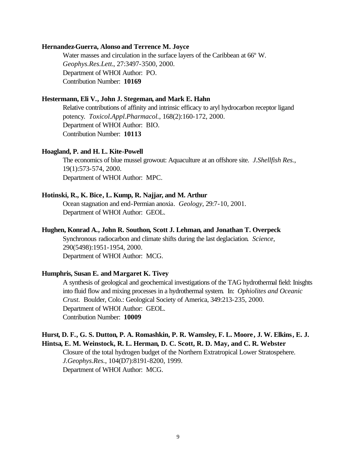# **Hernandez-Guerra, Alonso and Terrence M. Joyce**

Water masses and circulation in the surface layers of the Caribbean at 66º W. *Geophys.Res.Lett.*, 27:3497-3500, 2000. Department of WHOI Author: PO. Contribution Number: **10169**

# **Hestermann, Eli V., John J. Stegeman, and Mark E. Hahn**

Relative contributions of affinity and intrinsic efficacy to aryl hydrocarbon receptor ligand potency. *Toxicol.Appl.Pharmacol.*, 168(2):160-172, 2000. Department of WHOI Author: BIO. Contribution Number: **10113**

## **Hoagland, P. and H. L. Kite-Powell**

The economics of blue mussel growout: Aquaculture at an offshore site. *J.Shellfish Res.*, 19(1):573-574, 2000. Department of WHOI Author: MPC.

# **Hotinski, R., K. Bice, L. Kump, R. Najjar, and M. Arthur**

Ocean stagnation and end-Permian anoxia. *Geology*, 29:7-10, 2001. Department of WHOI Author: GEOL.

## **Hughen, Konrad A., John R. Southon, Scott J. Lehman, and Jonathan T. Overpeck**

Synchronous radiocarbon and climate shifts during the last deglaciation. *Science*, 290(5498):1951-1954, 2000. Department of WHOI Author: MCG.

## **Humphris, Susan E. and Margaret K. Tivey**

A synthesis of geological and geochemical investigations of the TAG hydrothermal field: Inisghts into fluid flow and mixing processes in a hydrothermal system. In: *Ophiolites and Oceanic Crust.* Boulder, Colo.: Geological Society of America, 349:213-235, 2000. Department of WHOI Author: GEOL. Contribution Number: **10009**

# **Hurst, D. F., G. S. Dutton, P. A. Romashkin, P. R. Wamsley, F. L. Moore, J. W. Elkins, E. J. Hintsa, E. M. Weinstock, R. L. Herman, D. C. Scott, R. D. May, and C. R. Webster**

Closure of the total hydrogen budget of the Northern Extratropical Lower Stratospehere. *J.Geophys.Res.*, 104(D7):8191-8200, 1999. Department of WHOI Author: MCG.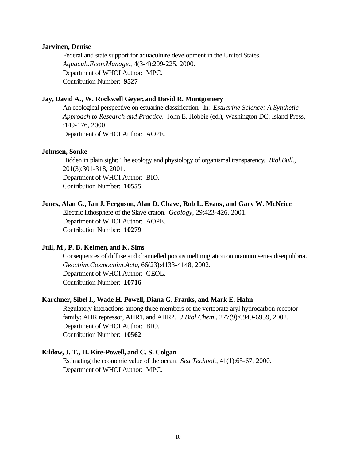#### **Jarvinen, Denise**

Federal and state support for aquaculture development in the United States. *Aquacult.Econ.Manage.*, 4(3-4):209-225, 2000. Department of WHOI Author: MPC. Contribution Number: **9527**

# **Jay, David A., W. Rockwell Geyer, and David R. Montgomery**

An ecological perspective on estuarine classification. In: *Estuarine Science: A Synthetic Approach to Research and Practice.* John E. Hobbie (ed.), Washington DC: Island Press, :149-176, 2000.

Department of WHOI Author: AOPE.

## **Johnsen, Sonke**

Hidden in plain sight: The ecology and physiology of organismal transparency. *Biol.Bull.*, 201(3):301-318, 2001. Department of WHOI Author: BIO. Contribution Number: **10555**

# **Jones, Alan G., Ian J. Ferguson, Alan D. Chave, Rob L. Evans, and Gary W. McNeice**

Electric lithosphere of the Slave craton. *Geology*, 29:423-426, 2001. Department of WHOI Author: AOPE. Contribution Number: **10279**

#### **Jull, M., P. B. Kelmen, and K. Sims**

Consequences of diffuse and channelled porous melt migration on uranium series disequilibria. *Geochim.Cosmochim.Acta*, 66(23):4133-4148, 2002. Department of WHOI Author: GEOL. Contribution Number: **10716**

#### **Karchner, Sibel I., Wade H. Powell, Diana G. Franks, and Mark E. Hahn**

Regulatory interactions among three members of the vertebrate aryl hydrocarbon receptor family: AHR repressor, AHR1, and AHR2. *J.Biol.Chem.*, 277(9):6949-6959, 2002. Department of WHOI Author: BIO. Contribution Number: **10562**

## **Kildow, J. T., H. Kite-Powell, and C. S. Colgan**

Estimating the economic value of the ocean. *Sea Technol.*, 41(1):65-67, 2000. Department of WHOI Author: MPC.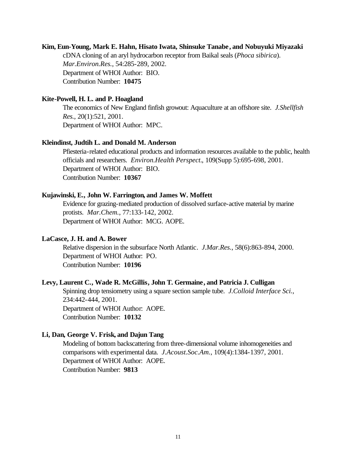#### **Kim, Eun-Young, Mark E. Hahn, Hisato Iwata, Shinsuke Tanabe, and Nobuyuki Miyazaki**

cDNA cloning of an aryl hydrocarbon receptor from Baikal seals (*Phoca sibirica*). *Mar.Environ.Res.*, 54:285-289, 2002. Department of WHOI Author: BIO. Contribution Number: **10475**

## **Kite-Powell, H. L. and P. Hoagland**

The economics of New England finfish growout: Aquaculture at an offshore site. *J.Shellfish Res.*, 20(1):521, 2001. Department of WHOI Author: MPC.

#### **Kleindinst, Judtih L. and Donald M. Anderson**

Pfiesteria-related educational products and information resources available to the public, health officials and researchers. *Environ.Health Perspect.*, 109(Supp 5):695-698, 2001. Department of WHOI Author: BIO. Contribution Number: **10367**

## **Kujawinski, E., John W. Farrington, and James W. Moffett**

Evidence for grazing-mediated production of dissolved surface-active material by marine protists. *Mar.Chem.*, 77:133-142, 2002. Department of WHOI Author: MCG. AOPE.

# **LaCasce, J. H. and A. Bower**

Relative dispersion in the subsurface North Atlantic. *J.Mar.Res.*, 58(6):863-894, 2000. Department of WHOI Author: PO. Contribution Number: **10196**

#### **Levy, Laurent C., Wade R. McGillis, John T. Germaine, and Patricia J. Culligan**

Spinning drop tensiometry using a square section sample tube. *J.Colloid Interface Sci.*, 234:442-444, 2001. Department of WHOI Author: AOPE. Contribution Number: **10132**

# **Li, Dan, George V. Frisk, and Dajun Tang**

Modeling of bottom backscattering from three-dimensional volume inhomogeneities and comparisons with experimental data. *J.Acoust.Soc.Am.*, 109(4):1384-1397, 2001. Department of WHOI Author: AOPE. Contribution Number: **9813**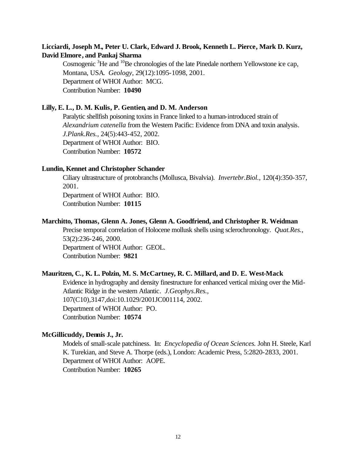# **Licciardi, Joseph M., Peter U. Clark, Edward J. Brook, Kenneth L. Pierce, Mark D. Kurz, David Elmore, and Pankaj Sharma**

Cosmogenic  ${}^{3}$ He and  ${}^{10}$ Be chronologies of the late Pinedale northern Yellowstone ice cap, Montana, USA. *Geology*, 29(12):1095-1098, 2001. Department of WHOI Author: MCG. Contribution Number: **10490**

#### **Lilly, E. L., D. M. Kulis, P. Gentien, and D. M. Anderson**

Paralytic shellfish poisoning toxins in France linked to a human-introduced strain of *Alexandrium catenella* from the Western Pacific: Evidence from DNA and toxin analysis. *J.Plank.Res.*, 24(5):443-452, 2002. Department of WHOI Author: BIO. Contribution Number: **10572**

#### **Lundin, Kennet and Christopher Schander**

Ciliary ultrastructure of protobranchs (Mollusca, Bivalvia). *Invertebr.Biol.*, 120(4):350-357, 2001.

Department of WHOI Author: BIO. Contribution Number: **10115**

# **Marchitto, Thomas, Glenn A. Jones, Glenn A. Goodfriend, and Christopher R. Weidman**

Precise temporal correlation of Holocene mollusk shells using sclerochronology. *Quat.Res.*, 53(2):236-246, 2000. Department of WHOI Author: GEOL. Contribution Number: **9821**

## **Mauritzen, C., K. L. Polzin, M. S. McCartney, R. C. Millard, and D. E. West-Mack**

Evidence in hydrography and density finestructure for enhanced vertical mixing over the Mid-Atlantic Ridge in the western Atlantic. *J.Geophys.Res.*, 107(C10),3147,doi:10.1029/2001JC001114, 2002. Department of WHOI Author: PO. Contribution Number: **10574**

# **McGillicuddy, Dennis J., Jr.**

Models of small-scale patchiness. In: *Encyclopedia of Ocean Sciences.* John H. Steele, Karl K. Turekian, and Steve A. Thorpe (eds.), London: Academic Press, 5:2820-2833, 2001. Department of WHOI Author: AOPE. Contribution Number: **10265**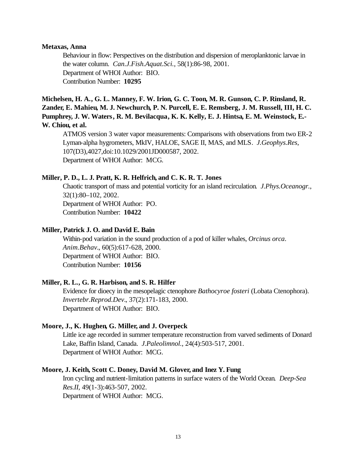## **Metaxas, Anna**

Behaviour in flow: Perspectives on the distribution and dispersion of meroplanktonic larvae in the water column. *Can.J.Fish.Aquat.Sci.*, 58(1):86-98, 2001. Department of WHOI Author: BIO. Contribution Number: **10295**

**Michelsen, H. A., G. L. Manney, F. W. Irion, G. C. Toon, M. R. Gunson, C. P. Rinsland, R. Zander, E. Mahieu, M. J. Newchurch, P. N. Purcell, E. E. Remsberg, J. M. Russell, III, H. C. Pumphrey, J. W. Waters, R. M. Bevilacqua, K. K. Kelly, E. J. Hintsa, E. M. Weinstock, E.- W. Chiou, et al.**

ATMOS version 3 water vapor measurements: Comparisons with observations from two ER-2 Lyman-alpha hygrometers, MkIV, HALOE, SAGE II, MAS, and MLS. *J.Geophys.Res*, 107(D3),4027,doi:10.1029/2001JD000587, 2002. Department of WHOI Author: MCG.

# **Miller, P. D., L. J. Pratt, K. R. Helfrich, and C. K. R. T. Jones**

Chaotic transport of mass and potential vorticity for an island recirculation. *J.Phys.Oceanogr.*, 32(1):80–102, 2002. Department of WHOI Author: PO. Contribution Number: **10422**

## **Miller, Patrick J. O. and David E. Bain**

Within-pod variation in the sound production of a pod of killer whales, *Orcinus orca*. *Anim.Behav.*, 60(5):617-628, 2000. Department of WHOI Author: BIO. Contribution Number: **10156**

# **Miller, R. L., G. R. Harbison, and S. R. Hilfer**

Evidence for dioecy in the mesopelagic ctenophore *Bathocyroe fosteri* (Lobata Ctenophora). *Invertebr.Reprod.Dev.*, 37(2):171-183, 2000. Department of WHOI Author: BIO.

# **Moore, J., K. Hughen, G. Miller, and J. Overpeck**

Little ice age recorded in summer temperature reconstruction from varved sediments of Donard Lake, Baffin Island, Canada. *J.Paleolimnol.*, 24(4):503-517, 2001. Department of WHOI Author: MCG.

# **Moore, J. Keith, Scott C. Doney, David M. Glover, and Inez Y. Fung**

Iron cycling and nutrient-limitation patterns in surface waters of the World Ocean. *Deep-Sea Res.II*, 49(1-3):463-507, 2002. Department of WHOI Author: MCG.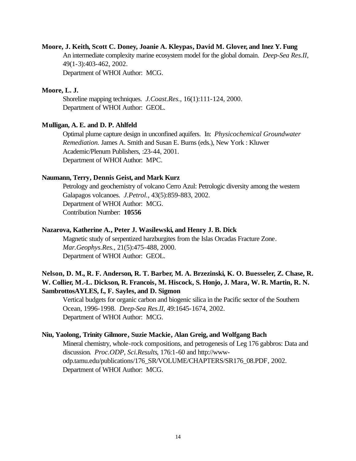# **Moore, J. Keith, Scott C. Doney, Joanie A. Kleypas, David M. Glover, and Inez Y. Fung**

An intermediate complexity marine ecosystem model for the global domain. *Deep-Sea Res.II*, 49(1-3):403-462, 2002.

Department of WHOI Author: MCG.

# **Moore, L. J.**

Shoreline mapping techniques. *J.Coast.Res.*, 16(1):111-124, 2000. Department of WHOI Author: GEOL.

#### **Mulligan, A. E. and D. P. Ahlfeld**

Optimal plume capture design in unconfined aquifers. In: *Physicochemical Groundwater Remediation.* James A. Smith and Susan E. Burns (eds.), New York : Kluwer Academic/Plenum Publishers, :23-44, 2001. Department of WHOI Author: MPC.

# **Naumann, Terry, Dennis Geist, and Mark Kurz**

Petrology and geochemistry of volcano Cerro Azul: Petrologic diversity among the western Galapagos volcanoes. *J.Petrol.*, 43(5):859-883, 2002. Department of WHOI Author: MCG. Contribution Number: **10556**

## **Nazarova, Katherine A., Peter J. Wasilewski, and Henry J. B. Dick**

Magnetic study of serpentized harzburgites from the Islas Orcadas Fracture Zone. *Mar.Geophys.Res.*, 21(5):475-488, 2000. Department of WHOI Author: GEOL.

# **Nelson, D. M., R. F. Anderson, R. T. Barber, M. A. Brzezinski, K. O. Buesseler, Z. Chase, R. W. Collier, M.-L. Dickson, R. Francois, M. Hiscock, S. Honjo, J. Mara, W. R. Martin, R. N. SambrottosAYLES, f., F. Sayles, and D. Sigmon**

Vertical budgets for organic carbon and biogenic silica in the Pacific sector of the Southern Ocean, 1996-1998. *Deep-Sea Res.II*, 49:1645-1674, 2002. Department of WHOI Author: MCG.

#### **Niu, Yaolong, Trinity Gilmore, Suzie Mackie, Alan Greig, and Wolfgang Bach**

Mineral chemistry, whole-rock compositions, and petrogenesis of Leg 176 gabbros: Data and discussion. *Proc.ODP, Sci.Results*, 176:1-60 and http://wwwodp.tamu.edu/publications/176\_SR/VOLUME/CHAPTERS/SR176\_08.PDF, 2002. Department of WHOI Author: MCG.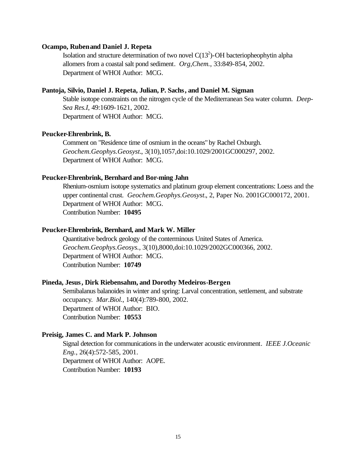# **Ocampo, Ruben and Daniel J. Repeta**

Isolation and structure determination of two novel  $C(13<sup>2</sup>)$ -OH bacteriopheophytin alpha allomers from a coastal salt pond sediment. *Org,Chem.*, 33:849-854, 2002. Department of WHOI Author: MCG.

# **Pantoja, Silvio, Daniel J. Repeta, Julian, P. Sachs, and Daniel M. Sigman**

Stable isotope constraints on the nitrogen cycle of the Mediterranean Sea water column. *Deep-Sea Res.I*, 49:1609-1621, 2002. Department of WHOI Author: MCG.

#### **Peucker-Ehrenbrink, B.**

Comment on "Residence time of osmium in the oceans" by Rachel Oxburgh. *Geochem.Geophys.Geosyst.*, 3(10),1057,doi:10.1029/2001GC000297, 2002. Department of WHOI Author: MCG.

#### **Peucker-Ehrenbrink, Bernhard and Bor-ming Jahn**

Rhenium-osmium isotope systematics and platinum group element concentrations: Loess and the upper continental crust. *Geochem.Geophys.Geosyst.*, 2, Paper No. 2001GC000172, 2001. Department of WHOI Author: MCG. Contribution Number: **10495**

## **Peucker-Ehrenbrink, Bernhard, and Mark W. Miller**

Quantitative bedrock geology of the conterminous United States of America. *Geochem.Geophys.Geosys.*, 3(10),8000,doi:10.1029/2002GC000366, 2002. Department of WHOI Author: MCG. Contribution Number: **10749**

# **Pineda, Jesus, Dirk Riebensahm, and Dorothy Medeiros-Bergen**

Semibalanus balanoides in winter and spring: Larval concentration, settlement, and substrate occupancy. *Mar.Biol.*, 140(4):789-800, 2002. Department of WHOI Author: BIO. Contribution Number: **10553**

# **Preisig, James C. and Mark P. Johnson**

Signal detection for communications in the underwater acoustic environment. *IEEE J.Oceanic Eng.*, 26(4):572-585, 2001. Department of WHOI Author: AOPE. Contribution Number: **10193**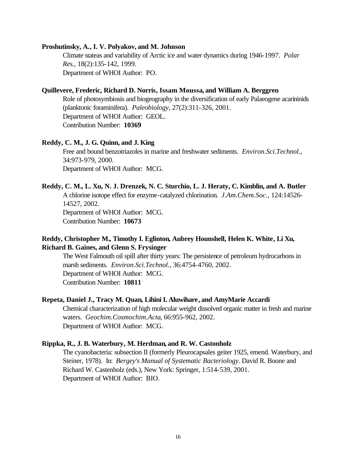#### **Proshutinsky, A., I. V. Polyakov, and M. Johnson**

Climate stateas and variability of Arctic ice and water dynamics during 1946-1997. *Polar Res.*, 18(2):135-142, 1999. Department of WHOI Author: PO.

#### **Quillevere, Frederic, Richard D. Norris, Issam Moussa, and William A. Berggren**

Role of photosymbiosis and biogeography in the diversification of early Palaeogene acarininids (planktonic foraminifera). *Paleobiology*, 27(2):311-326, 2001. Department of WHOI Author: GEOL. Contribution Number: **10369**

#### **Reddy, C. M., J. G. Quinn, and J. King**

Free and bound benzotriazoles in marine and freshwater sediments. *Environ.Sci.Technol.*, 34:973-979, 2000. Department of WHOI Author: MCG.

# **Reddy, C. M., L. Xu, N. J. Drenzek, N. C. Sturchio, L. J. Heraty, C. Kimblin, and A. Butler**

A chlorine isotope effect for enzyme-catalyzed chlorination. *J.Am.Chem.Soc.*, 124:14526- 14527, 2002. Department of WHOI Author: MCG.

Contribution Number: **10673**

# **Reddy, Christopher M., Timothy I. Eglinton, Aubrey Hounshell, Helen K. White, Li Xu, Richard B. Gaines, and Glenn S. Frysinger**

The West Falmouth oil spill after thirty years: The persistence of petroleum hydrocarbons in marsh sediments. *Environ.Sci.Technol.*, 36:4754-4760, 2002. Department of WHOI Author: MCG. Contribution Number: **10811**

#### **Repeta, Daniel J., Tracy M. Quan, Lihini I. Aluwihare, and AmyMarie Accardi**

Chemical characterization of high molecular weight dissolved organic matter in fresh and marine waters. *Geochim.Cosmochim.Acta*, 66:955-962, 2002. Department of WHOI Author: MCG.

#### **Rippka, R., J. B. Waterbury, M. Herdman, and R. W. Castonholz**

The cyanobacteria: subsection II (formerly Pleurocapsales geiter 1925, emend. Waterbury, and Steiner, 1978). In: *Bergey's Manual of Systematic Bacteriology*. David R. Boone and Richard W. Castenholz (eds.), New York: Springer, 1:514-539, 2001. Department of WHOI Author: BIO.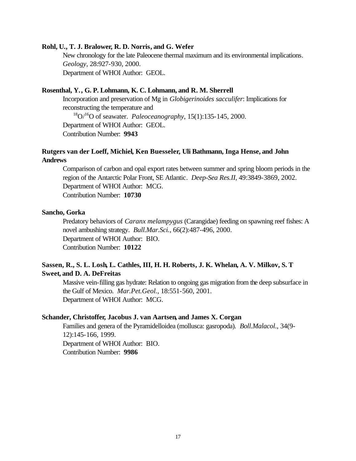#### **Rohl, U., T. J. Bralower, R. D. Norris, and G. Wefer**

New chronology for the late Paleocene thermal maximum and its environmental implications. *Geology*, 28:927-930, 2000. Department of WHOI Author: GEOL.

# **Rosenthal, Y., G. P. Lohmann, K. C. Lohmann, and R. M. Sherrell**

Incorporation and preservation of Mg in *Globigerinoides sacculifer*: Implications for reconstructing the temperature and

<sup>18</sup>O/<sup>16</sup>O of seawater. *Paleoceanography*, 15(1):135-145, 2000. Department of WHOI Author: GEOL.

Contribution Number: **9943**

# **Rutgers van der Loeff, Michiel, Ken Buesseler, Uli Bathmann, Inga Hense, and John Andrews**

Comparison of carbon and opal export rates between summer and spring bloom periods in the region of the Antarctic Polar Front, SE Atlantic. *Deep-Sea Res.II*, 49:3849-3869, 2002. Department of WHOI Author: MCG. Contribution Number: **10730**

#### **Sancho, Gorka**

Predatory behaviors of *Caranx melampygus* (Carangidae) feeding on spawning reef fishes: A novel ambushing strategy. *Bull.Mar.Sci.*, 66(2):487-496, 2000. Department of WHOI Author: BIO. Contribution Number: **10122**

# **Sassen, R., S. L. Losh, L. Cathles, III, H. H. Roberts, J. K. Whelan, A. V. Milkov, S. T Sweet, and D. A. DeFreitas**

Massive vein-filling gas hydrate: Relation to ongoing gas migration from the deep subsurface in the Gulf of Mexico. *Mar.Pet.Geol.*, 18:551-560, 2001. Department of WHOI Author: MCG.

#### **Schander, Christoffer, Jacobus J. van Aartsen, and James X. Corgan**

Families and genera of the Pyramidelloidea (mollusca: gasropoda). *Boll.Malacol.*, 34(9- 12):145-166, 1999. Department of WHOI Author: BIO. Contribution Number: **9986**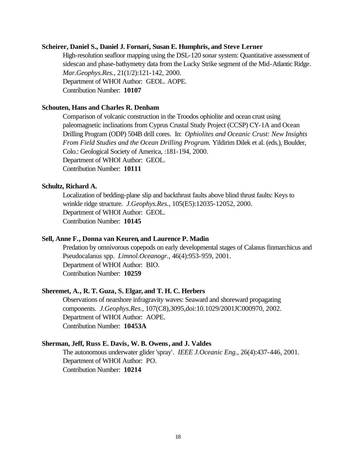#### **Scheirer, Daniel S., Daniel J. Fornari, Susan E. Humphris, and Steve Lerner**

High-resolution seafloor mapping using the DSL-120 sonar system: Quantitative assessment of sidescan and phase-bathymetry data from the Lucky Strike segment of the Mid-Atlantic Ridge. *Mar.Geophys.Res.*, 21(1/2):121-142, 2000. Department of WHOI Author: GEOL. AOPE. Contribution Number: **10107**

# **Schouten, Hans and Charles R. Denham**

Comparison of volcanic construction in the Troodos ophiolite and ocean crust using paleomagnetic inclinations from Cyprus Crustal Study Project (CCSP) CY-1A and Ocean Drilling Program (ODP) 504B drill cores. In: *Ophiolites and Oceanic Crust: New Insights From Field Studies and the Ocean Drilling Program.* Yildirim Dilek et al. (eds.), Boulder, Colo.: Geological Society of America, :181-194, 2000. Department of WHOI Author: GEOL. Contribution Number: **10111**

#### **Schultz, Richard A.**

Localization of bedding-plane slip and backthrust faults above blind thrust faults: Keys to wrinkle ridge structure. *J.Geophys.Res.*, 105(E5):12035-12052, 2000. Department of WHOI Author: GEOL. Contribution Number: **10145**

#### **Sell, Anne F., Donna van Keuren, and Laurence P. Madin**

Predation by omnivorous copepods on early developmental stages of Calanus finmarchicus and Pseudocalanus spp. *Limnol.Oceanogr.*, 46(4):953-959, 2001. Department of WHOI Author: BIO. Contribution Number: **10259**

# **Sheremet, A., R. T. Guza, S. Elgar, and T. H. C. Herbers**

Observations of nearshore infragravity waves: Seaward and shoreward propagating components. *J.Geophys.Res.*, 107(C8),3095,doi:10.1029/2001JC000970, 2002. Department of WHOI Author: AOPE. Contribution Number: **10453A**

#### **Sherman, Jeff, Russ E. Davis, W. B. Owens, and J. Valdes**

The autonomous underwater glider 'spray'. *IEEE J.Oceanic Eng.*, 26(4):437-446, 2001. Department of WHOI Author: PO. Contribution Number: **10214**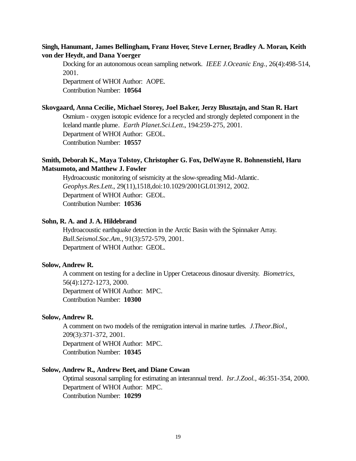# **Singh, Hanumant, James Bellingham, Franz Hover, Steve Lerner, Bradley A. Moran, Keith von der Heydt, and Dana Yoerger**

Docking for an autonomous ocean sampling network. *IEEE J.Oceanic Eng.*, 26(4):498-514, 2001.

Department of WHOI Author: AOPE. Contribution Number: **10564**

# **Skovgaard, Anna Cecilie, Michael Storey, Joel Baker, Jerzy Blusztajn, and Stan R. Hart**

Osmium - oxygen isotopic evidence for a recycled and strongly depleted component in the Iceland mantle plume. *Earth Planet.Sci.Lett.*, 194:259-275, 2001. Department of WHOI Author: GEOL. Contribution Number: **10557**

# **Smith, Deborah K., Maya Tolstoy, Christopher G. Fox, DelWayne R. Bohnenstiehl, Haru Matsumoto, and Matthew J. Fowler**

Hydroacoustic monitoring of seismicity at the slow-spreading Mid-Atlantic. *Geophys.Res.Lett.*, 29(11),1518,doi:10.1029/2001GL013912, 2002. Department of WHOI Author: GEOL. Contribution Number: **10536**

#### **Sohn, R. A. and J. A. Hildebrand**

Hydroacoustic earthquake detection in the Arctic Basin with the Spinnaker Array. *Bull.Seismol.Soc.Am.*, 91(3):572-579, 2001. Department of WHOI Author: GEOL.

## **Solow, Andrew R.**

A comment on testing for a decline in Upper Cretaceous dinosaur diversity. *Biometrics*, 56(4):1272-1273, 2000. Department of WHOI Author: MPC. Contribution Number: **10300**

#### **Solow, Andrew R.**

A comment on two models of the remigration interval in marine turtles. *J.Theor.Biol.*, 209(3):371-372, 2001. Department of WHOI Author: MPC. Contribution Number: **10345**

# **Solow, Andrew R., Andrew Beet, and Diane Cowan**

Optimal seasonal sampling for estimating an interannual trend. *Isr.J.Zool.*, 46:351-354, 2000. Department of WHOI Author: MPC. Contribution Number: **10299**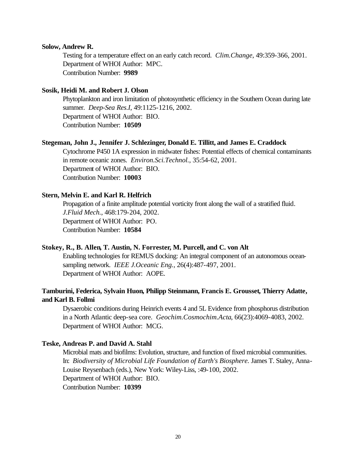#### **Solow, Andrew R.**

Testing for a temperature effect on an early catch record. *Clim.Change*, 49:359-366, 2001. Department of WHOI Author: MPC. Contribution Number: **9989**

#### **Sosik, Heidi M. and Robert J. Olson**

Phytoplankton and iron limitation of photosynthetic efficiency in the Southern Ocean during late summer. *Deep-Sea Res.I*, 49:1125-1216, 2002. Department of WHOI Author: BIO. Contribution Number: **10509**

# **Stegeman, John J., Jennifer J. Schlezinger, Donald E. Tillitt, and James E. Craddock**

Cytochrome P450 1A expression in midwater fishes: Potential effects of chemical contaminants in remote oceanic zones. *Environ.Sci.Technol.*, 35:54-62, 2001. Department of WHOI Author: BIO. Contribution Number: **10003**

# **Stern, Melvin E. and Karl R. Helfrich**

Propagation of a finite amplitude potential vorticity front along the wall of a stratified fluid. *J.Fluid Mech.*, 468:179-204, 2002. Department of WHOI Author: PO. Contribution Number: **10584**

# **Stokey, R., B. Allen, T. Austin, N. Forrester, M. Purcell, and C. von Alt**

Enabling technologies for REMUS docking: An integral component of an autonomous oceansampling network. *IEEE J.Oceanic Eng.*, 26(4):487-497, 2001. Department of WHOI Author: AOPE.

# **Tamburini, Federica, Sylvain Huon, Philipp Steinmann, Francis E. Grousset, Thierry Adatte, and Karl B. Follmi**

Dysaerobic conditions during Heinrich events 4 and 5L Evidence from phosphorus distribution in a North Atlantic deep-sea core. *Geochim.Cosmochim.Acta*, 66(23):4069-4083, 2002. Department of WHOI Author: MCG.

# **Teske, Andreas P. and David A. Stahl**

Microbial mats and biofilms: Evolution, structure, and function of fixed microbial communities. In: *Biodiversity of Microbial Life Foundation of Earth's Biosphere.* James T. Staley, Anna-Louise Reysenbach (eds.), New York: Wiley-Liss, :49-100, 2002. Department of WHOI Author: BIO. Contribution Number: **10399**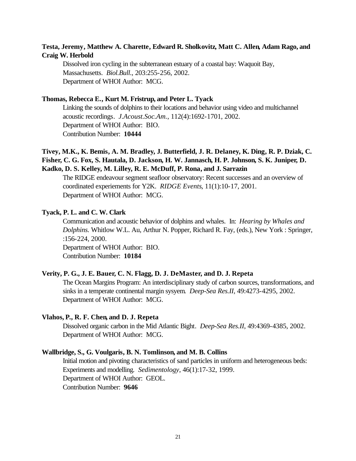# **Testa, Jeremy, Matthew A. Charette, Edward R. Sholkovitz, Matt C. Allen, Adam Rago, and Craig W. Herbold**

Dissolved iron cycling in the subterranean estuary of a coastal bay: Waquoit Bay, Massachusetts. *Biol.Bull.*, 203:255-256, 2002. Department of WHOI Author: MCG.

# **Thomas, Rebecca E., Kurt M. Fristrup, and Peter L. Tyack**

Linking the sounds of dolphins to their locations and behavior using video and multichannel acoustic recordings. *J.Acoust.Soc.Am.*, 112(4):1692-1701, 2002. Department of WHOI Author: BIO. Contribution Number: **10444**

# **Tivey, M.K., K. Bemis, A. M. Bradley, J. Butterfield, J. R. Delaney, K. Ding, R. P. Dziak, C. Fisher, C. G. Fox, S. Hautala, D. Jackson, H. W. Jannasch, H. P. Johnson, S. K. Juniper, D. Kadko, D. S. Kelley, M. Lilley, R. E. McDuff, P. Rona, and J. Sarrazin**

The RIDGE endeavour segment seafloor observatory: Recent successes and an overview of coordinated experiements for Y2K. *RIDGE Events*, 11(1):10-17, 2001. Department of WHOI Author: MCG.

#### **Tyack, P. L. and C. W. Clark**

Communication and acoustic behavior of dolphins and whales. In: *Hearing by Whales and Dolphins.* Whitlow W.L. Au, Arthur N. Popper, Richard R. Fay, (eds.), New York : Springer, :156-224, 2000.

Department of WHOI Author: BIO. Contribution Number: **10184**

# **Verity, P. G., J. E. Bauer, C. N. Flagg, D. J. DeMaster, and D. J. Repeta**

The Ocean Margins Program: An interdisciplinary study of carbon sources, transformations, and sinks in a temperate continental margin sysyem. *Deep-Sea Res.II*, 49:4273-4295, 2002. Department of WHOI Author: MCG.

#### **Vlahos, P., R. F. Chen, and D. J. Repeta**

Dissolved organic carbon in the Mid Atlantic Bight. *Deep-Sea Res.II*, 49:4369-4385, 2002. Department of WHOI Author: MCG.

#### **Wallbridge, S., G. Voulgaris, B. N. Tomlinson, and M. B. Collins**

Initial motion and pivoting characteristics of sand particles in uniform and heterogeneous beds: Experiments and modelling. *Sedimentology*, 46(1):17-32, 1999. Department of WHOI Author: GEOL. Contribution Number: **9646**